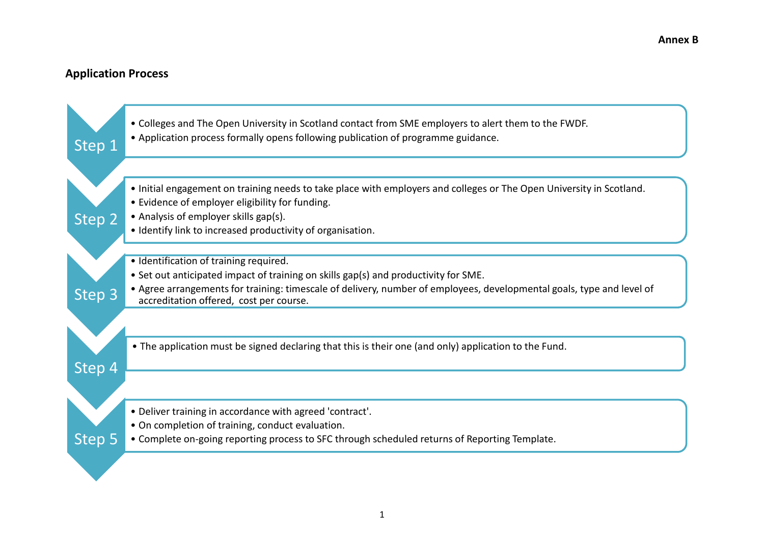## **Application Process**

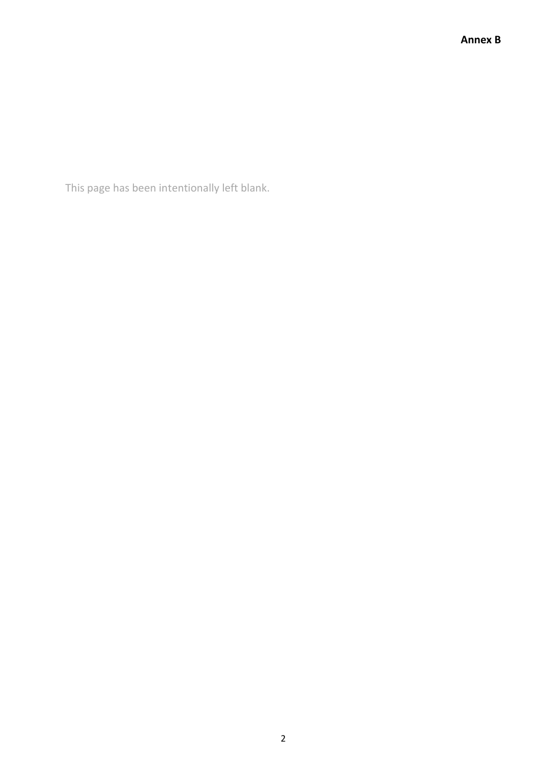This page has been intentionally left blank.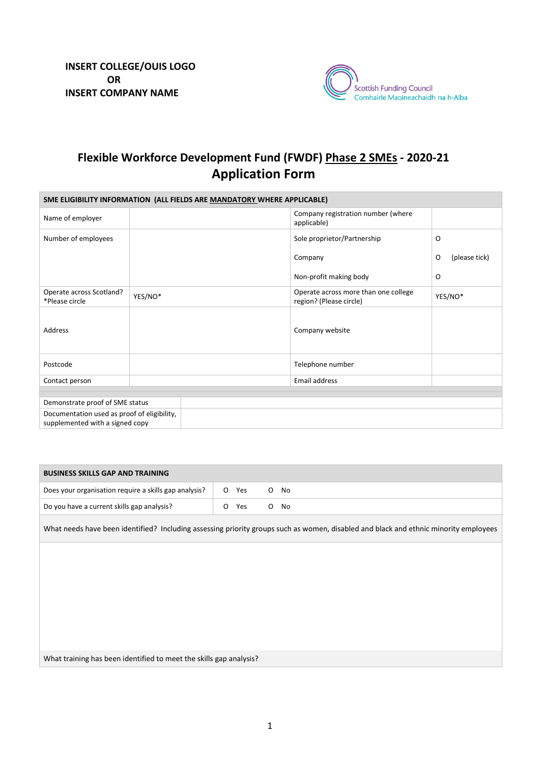

## **Flexible Workforce Development Fund (FWDF) Phase 2 SMEs - 2020-21 Application Form**

| SME ELIGIBILITY INFORMATION (ALL FIELDS ARE MANDATORY WHERE APPLICABLE)        |         |  |                                                                 |                    |  |  |  |
|--------------------------------------------------------------------------------|---------|--|-----------------------------------------------------------------|--------------------|--|--|--|
| Name of employer                                                               |         |  | Company registration number (where<br>applicable)               |                    |  |  |  |
| Number of employees                                                            |         |  | Sole proprietor/Partnership                                     | O                  |  |  |  |
|                                                                                |         |  | Company                                                         | (please tick)<br>O |  |  |  |
|                                                                                |         |  | Non-profit making body                                          | O                  |  |  |  |
| Operate across Scotland?<br>*Please circle                                     | YES/NO* |  | Operate across more than one college<br>region? (Please circle) | YES/NO*            |  |  |  |
| Address                                                                        |         |  | Company website                                                 |                    |  |  |  |
| Postcode                                                                       |         |  | Telephone number                                                |                    |  |  |  |
| Contact person                                                                 |         |  | Email address                                                   |                    |  |  |  |
|                                                                                |         |  |                                                                 |                    |  |  |  |
| Demonstrate proof of SME status                                                |         |  |                                                                 |                    |  |  |  |
| Documentation used as proof of eligibility,<br>supplemented with a signed copy |         |  |                                                                 |                    |  |  |  |

| <b>BUSINESS SKILLS GAP AND TRAINING</b>               |           |  |  |      |  |  |
|-------------------------------------------------------|-----------|--|--|------|--|--|
| Does your organisation require a skills gap analysis? | O Yes     |  |  | O No |  |  |
| Do you have a current skills gap analysis?            | Yes<br>O. |  |  | O No |  |  |
|                                                       |           |  |  |      |  |  |

What needs have been identified? Including assessing priority groups such as women, disabled and black and ethnic minority employees

What training has been identified to meet the skills gap analysis?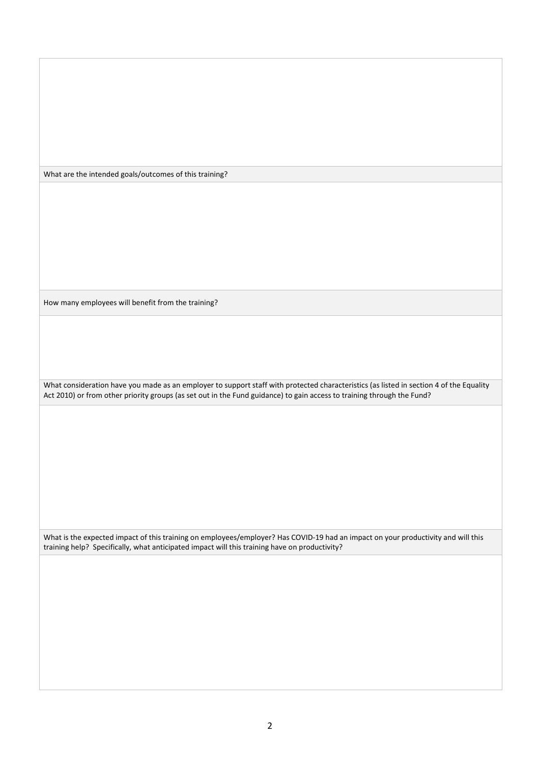What are the intended goals/outcomes of this training?

How many employees will benefit from the training?

What consideration have you made as an employer to support staff with protected characteristics (as listed in section 4 of the Equality Act 2010) or from other priority groups (as set out in the Fund guidance) to gain access to training through the Fund?

What is the expected impact of this training on employees/employer? Has COVID-19 had an impact on your productivity and will this training help? Specifically, what anticipated impact will this training have on productivity?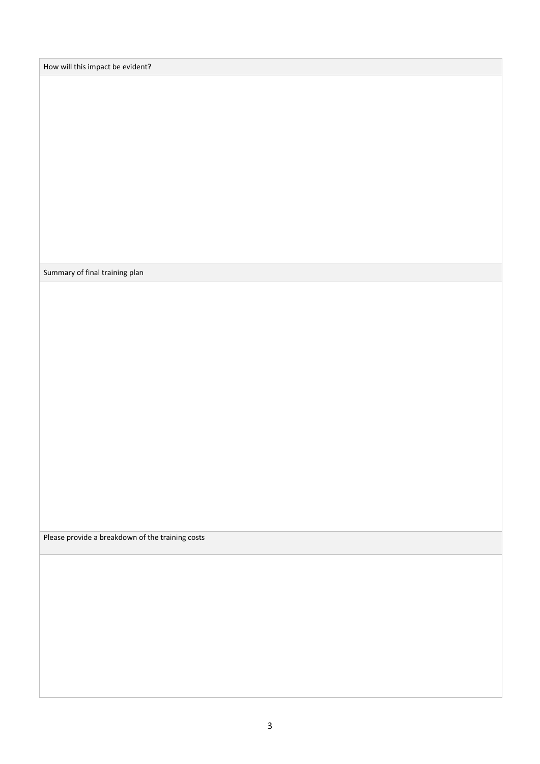How will this impact be evident?

Summary of final training plan

Please provide a breakdown of the training costs